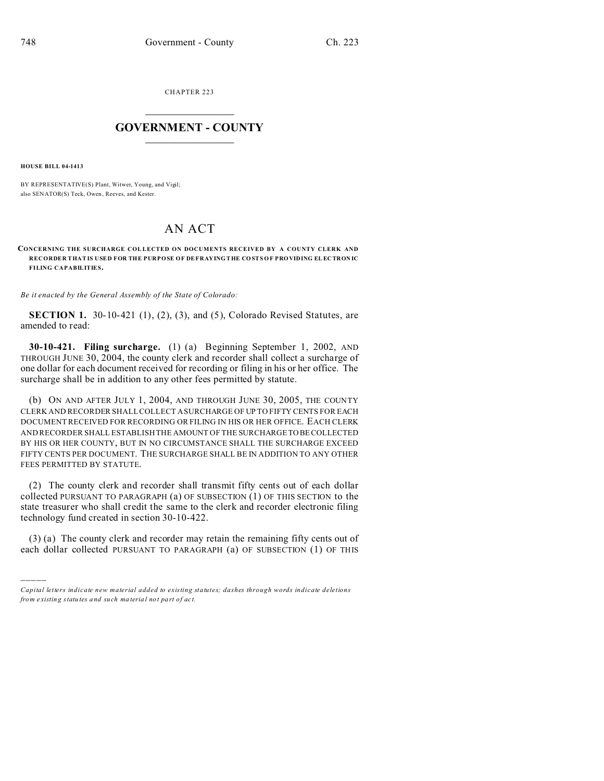CHAPTER 223  $\overline{\phantom{a}}$  , where  $\overline{\phantom{a}}$ 

## **GOVERNMENT - COUNTY**  $\_$

**HOUSE BILL 04-1413**

)))))

BY REPRESENTATIVE(S) Plant, Witwer, Young, and Vigil; also SENATOR(S) Teck, Owen, Reeves, and Kester.

## AN ACT

## CONCERNING THE SURCHARGE COLLECTED ON DOCUMENTS RECEIVED BY A COUNTY CLERK AND **RECORDER THAT IS USED FOR THE PURPOSE OF DEFRAYING THE CO STS O F PRO VIDING ELEC TRON IC FILING CAPABILITIES.**

*Be it enacted by the General Assembly of the State of Colorado:*

**SECTION 1.** 30-10-421 (1), (2), (3), and (5), Colorado Revised Statutes, are amended to read:

**30-10-421. Filing surcharge.** (1) (a) Beginning September 1, 2002, AND THROUGH JUNE 30, 2004, the county clerk and recorder shall collect a surcharge of one dollar for each document received for recording or filing in his or her office. The surcharge shall be in addition to any other fees permitted by statute.

(b) ON AND AFTER JULY 1, 2004, AND THROUGH JUNE 30, 2005, THE COUNTY CLERK AND RECORDER SHALL COLLECT A SURCHARGE OF UP TO FIFTY CENTS FOR EACH DOCUMENT RECEIVED FOR RECORDING OR FILING IN HIS OR HER OFFICE. EACH CLERK AND RECORDER SHALL ESTABLISH THE AMOUNT OF THE SURCHARGETO BE COLLECTED BY HIS OR HER COUNTY, BUT IN NO CIRCUMSTANCE SHALL THE SURCHARGE EXCEED FIFTY CENTS PER DOCUMENT. THE SURCHARGE SHALL BE IN ADDITION TO ANY OTHER FEES PERMITTED BY STATUTE.

(2) The county clerk and recorder shall transmit fifty cents out of each dollar collected PURSUANT TO PARAGRAPH (a) OF SUBSECTION (1) OF THIS SECTION to the state treasurer who shall credit the same to the clerk and recorder electronic filing technology fund created in section 30-10-422.

(3) (a) The county clerk and recorder may retain the remaining fifty cents out of each dollar collected PURSUANT TO PARAGRAPH (a) OF SUBSECTION (1) OF THIS

*Capital letters indicate new material added to existing statutes; dashes through words indicate deletions from e xistin g statu tes a nd such ma teria l no t pa rt of ac t.*